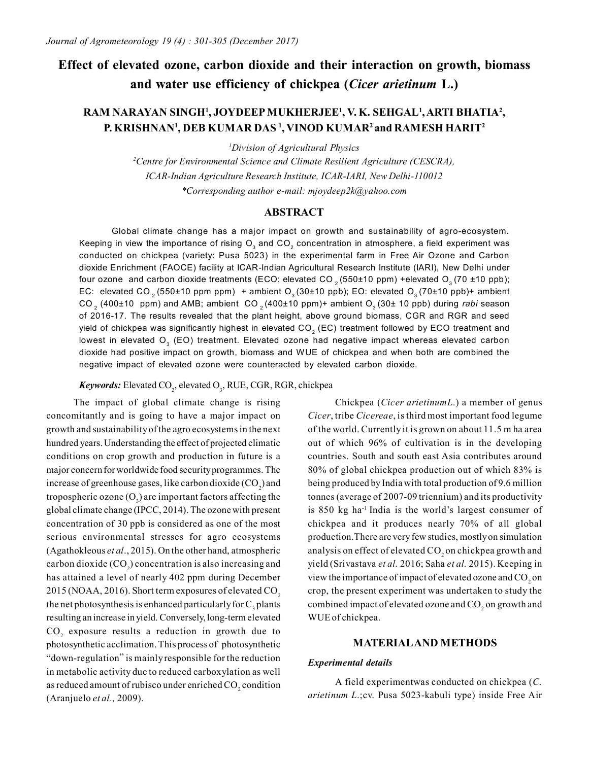# **Effect of elevated ozone, carbon dioxide and their interaction on growth, biomass and water use efficiency of chickpea (***Cicer arietinum* **L.)**

# **RAM NARAYAN SINGH<sup>1</sup> , JOYDEEP MUKHERJEE<sup>1</sup> , V. K. SEHGAL<sup>1</sup> , ARTI BHATIA<sup>2</sup> , P. KRISHNAN<sup>1</sup> , DEB KUMAR DAS <sup>1</sup> , VINOD KUMAR<sup>2</sup>and RAMESH HARIT<sup>2</sup>**

*<sup>1</sup>Division of Agricultural Physics*

*<sup>2</sup>Centre for Environmental Science and Climate Resilient Agriculture (CESCRA), ICAR-Indian Agriculture Research Institute, ICAR-IARI, New Delhi-110012 \*Corresponding author e-mail: mjoydeep2k@yahoo.com*

# **ABSTRACT**

Global climate change has a major impact on growth and sustainability of agro-ecosystem. Keeping in view the importance of rising  ${\sf O}_{_3}$  and CO $_2$  concentration in atmosphere, a field experiment was conducted on chickpea (variety: Pusa 5023) in the experimental farm in Free Air Ozone and Carbon dioxide Enrichment (FAOCE) facility at ICAR-Indian Agricultural Research Institute (IARI), New Delhi under four ozone and carbon dioxide treatments (ECO: elevated CO<sub>2</sub> (550±10 ppm) +elevated O<sub>3</sub> (70 ±10 ppb); EC: elevated CO<sub>2</sub> (550±10 ppm ppm) + ambient O<sub>3</sub> (30±10 ppb); EO: elevated O<sub>3</sub> (70±10 ppb)+ ambient CO<sub>2</sub> (400±10 ppm) and AMB; ambient CO<sub>2</sub> (400±10 ppm)+ ambient O<sub>3</sub> (30± 10 ppb) during *rabi* season of 2016-17. The results revealed that the plant height, above ground biomass, CGR and RGR and seed yield of chickpea was significantly highest in elevated CO $_2^{}$  (EC) treatment followed by ECO treatment and lowest in elevated O<sub>3</sub> (EO) treatment. Elevated ozone had negative impact whereas elevated carbon dioxide had positive impact on growth, biomass and WUE of chickpea and when both are combined the negative impact of elevated ozone were counteracted by elevated carbon dioxide.

Keywords: Elevated CO<sub>2</sub>, elevated O<sub>3</sub>, RUE, CGR, RGR, chickpea

The impact of global climate change is rising concomitantly and is going to have a major impact on growth and sustainability of the agro ecosystems in the next hundred years. Understanding the effect of projected climatic conditions on crop growth and production in future is a major concern for worldwide food security programmes. The increase of greenhouse gases, like carbon dioxide  $({\rm CO}_2)$  and tropospheric ozone  $(O_3)$  are important factors affecting the global climate change (IPCC, 2014). The ozone with present concentration of 30 ppb is considered as one of the most serious environmental stresses for agro ecosystems (Agathokleous *et al*., 2015). On the other hand, atmospheric carbon dioxide  $({\rm CO}_2)$  concentration is also increasing and has attained a level of nearly 402 ppm during December 2015 (NOAA, 2016). Short term exposures of elevated CO<sub>2</sub> the net photosynthesis is enhanced particularly for  $C_3$  plants resulting an increase in yield. Conversely, long-term elevated  $CO<sub>2</sub>$  exposure results a reduction in growth due to photosynthetic acclimation. This process of photosynthetic "down-regulation" is mainly responsible for the reduction in metabolic activity due to reduced carboxylation as well as reduced amount of rubisco under enriched  $\mathrm{CO}_2$  condition (Aranjuelo *et al.,* 2009).

Chickpea (*Cicer arietinumL*.) a member of genus *Cicer*, tribe *Cicereae*, is third most important food legume of the world. Currently it is grown on about 11.5 m ha area out of which 96% of cultivation is in the developing countries. South and south east Asia contributes around 80% of global chickpea production out of which 83% is being produced by India with total production of 9.6 million tonnes (average of 2007-09 triennium) and its productivity is 850 kg ha-1 India is the world's largest consumer of chickpea and it produces nearly 70% of all global production.There are very few studies, mostly on simulation analysis on effect of elevated CO<sub>2</sub> on chickpea growth and yield (Srivastava *et al.* 2016; Saha *et al.* 2015). Keeping in view the importance of impact of elevated ozone and  $\mathrm{CO}_2$  on crop, the present experiment was undertaken to study the combined impact of elevated ozone and  $\mathrm{CO}_2$  on growth and WUE of chickpea.

## **MATERIALAND METHODS**

#### *Experimental details*

A field experimentwas conducted on chickpea (*C. arietinum L*.;cv. Pusa 5023-kabuli type) inside Free Air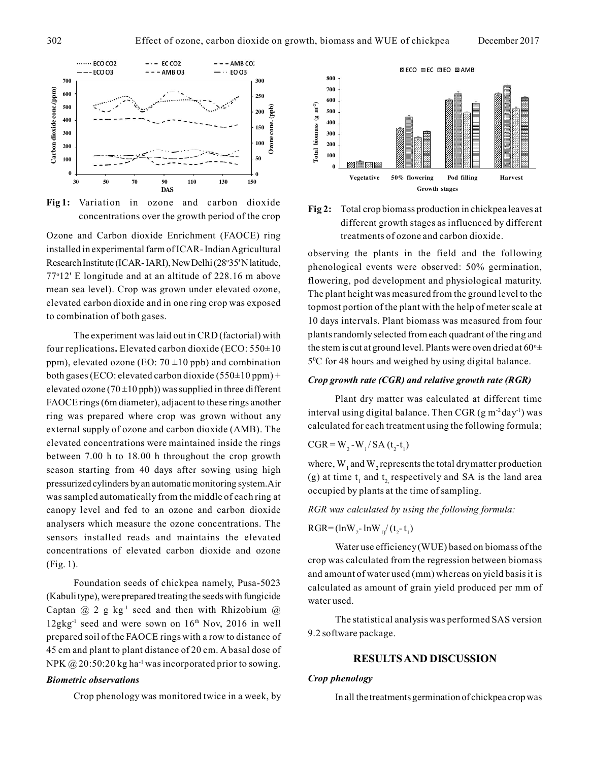

**Fig 1:** Variation in ozone and carbon dioxide concentrations over the growth period of the crop

Ozone and Carbon dioxide Enrichment (FAOCE) ring treatments of ozone and carbon dioxide. installed in experimental farm of ICAR- Indian Agricultural Research Institute (ICAR- IARI), New Delhi (28°35' N latitude, 77<sup>o</sup>12' E longitude and at an altitude of 228.16 m above mean sea level). Crop was grown under elevated ozone, elevated carbon dioxide and in one ring crop was exposed to combination of both gases.

The experiment was laid out in CRD (factorial) with four replications**.** Elevated carbon dioxide (ECO: 550±10 ppm), elevated ozone (EO:  $70 \pm 10$  ppb) and combination both gases (ECO: elevated carbon dioxide (550±10 ppm) + elevated ozone (70 $\pm$ 10 ppb)) was supplied in three different FAOCE rings (6m diameter), adjacent to these rings another ring was prepared where crop was grown without any external supply of ozone and carbon dioxide (AMB). The elevated concentrations were maintained inside the rings between 7.00 h to 18.00 h throughout the crop growth season starting from 40 days after sowing using high pressurized cylinders by an automatic monitoring system.Air was sampled automatically from the middle of each ring at canopy level and fed to an ozone and carbon dioxide analysers which measure the ozone concentrations. The sensors installed reads and maintains the elevated concentrations of elevated carbon dioxide and ozone (Fig. 1).

Foundation seeds of chickpea namely, Pusa-5023 (Kabuli type), were prepared treating the seeds with fungicide Captan  $(a)$  2 g kg<sup>-1</sup> seed and then with Rhizobium  $(a)$  $12gkg^{-1}$  seed and were sown on  $16<sup>th</sup>$  Nov, 2016 in well prepared soil of the FAOCE rings with a row to distance of 45 cm and plant to plant distance of 20 cm. A basal dose of NPK  $\omega$  20:50:20 kg ha<sup>-1</sup> was incorporated prior to sowing.

#### *Biometric observations*

Crop phenology was monitored twice in a week, by





observing the plants in the field and the following phenological events were observed: 50% germination, flowering, pod development and physiological maturity. The plant height was measured from the ground level to the topmost portion of the plant with the help of meter scale at 10 days intervals. Plant biomass was measured from four plants randomly selected from each quadrant of the ring and the stem is cut at ground level. Plants were oven dried at  $60^\circ \pm$ 5 <sup>0</sup>C for 48 hours and weighed by using digital balance.

#### *Crop growth rate (CGR) and relative growth rate (RGR)*

Plant dry matter was calculated at different time interval using digital balance. Then CGR (g m<sup>-2</sup>day<sup>-1</sup>) was calculated for each treatment using the following formula;

$$
CGR = W_2-W_1/SA (t_2-t_1)
$$

where,  $W_1$  and  $W_2$  represents the total dry matter production (g) at time  $t_1$  and  $t_2$  respectively and SA is the land area occupied by plants at the time of sampling.

*RGR was calculated by using the following formula:*

$$
RGR = (lnW_2 - lnW_1/(t_2 - t_1))
$$

Water use efficiency (WUE) based on biomass of the crop was calculated from the regression between biomass and amount of water used (mm) whereas on yield basis it is calculated as amount of grain yield produced per mm of water used.

The statistical analysis was performed SAS version 9.2 software package.

# **RESULTS AND DISCUSSION**

#### *Crop phenology*

In all the treatments germination of chickpea crop was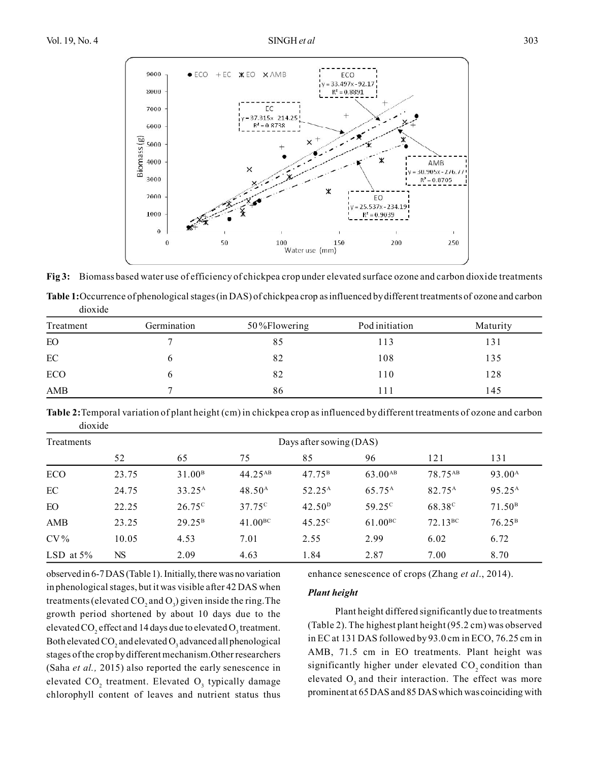

**Fig 3:** Biomass based water use of efficiency of chickpea crop under elevated surface ozone and carbon dioxide treatments

**Table 1:**Occurrence of phenological stages (in DAS) of chickpea crop as influenced by different treatments of ozone and carbon dioxide

| Treatment | Germination | 50%Flowering | Pod initiation | Maturity |
|-----------|-------------|--------------|----------------|----------|
| EO        |             | 85           | 13             | 131      |
| $\rm EC$  |             | 82           | 108            | 135      |
| ECO       |             | 82           | 110            | 128      |
| AMB       |             | 86           |                | 145      |

**Table 2:**Temporal variation of plant height (cm) in chickpea crop as influenced by different treatments of ozone and carbon dioxide

| Treatments   | Days after sowing (DAS) |                    |                 |                    |                    |                     |                    |
|--------------|-------------------------|--------------------|-----------------|--------------------|--------------------|---------------------|--------------------|
|              | 52                      | 65                 | 75              | 85                 | 96                 | 121                 | 131                |
| ECO          | 23.75                   | 31.00 <sup>B</sup> | $44.25^{AB}$    | $47.75^{\rm B}$    | $63.00^{AB}$       | 78.75 <sup>AB</sup> | 93.00 <sup>A</sup> |
| EC           | 24.75                   | $33.25^{\rm A}$    | $48.50^{\rm A}$ | 52.25 <sup>A</sup> | 65.75 <sup>A</sup> | 82.75 <sup>A</sup>  | 95.25 <sup>A</sup> |
| EO           | 22.25                   | $26.75^{\circ}$    | $37.75^{\circ}$ | 42.50 <sup>D</sup> | 59 25 <sup>c</sup> | 68.38 <sup>c</sup>  | 71.50 <sup>B</sup> |
| AMB          | 23.25                   | $29.25^{\rm B}$    | $41.00^{BC}$    | $45.25^{\circ}$    | $61.00^{BC}$       | $72.13^{\rm BC}$    | $76.25^{\rm B}$    |
| $CV\%$       | 10.05                   | 4.53               | 7.01            | 2.55               | 2.99               | 6.02                | 6.72               |
| LSD at $5\%$ | NS                      | 2.09               | 4.63            | 1.84               | 2.87               | 7.00                | 8.70               |

observed in 6-7 DAS (Table 1). Initially, there was no variation in phenological stages, but it was visible after 42 DAS when treatments (elevated  $\text{CO}_2$  and  $\text{O}_3$ ) given inside the ring. The growth period shortened by about 10 days due to the elevated CO<sub>2</sub> effect and 14 days due to elevated O<sub>3</sub> treatment. Both elevated CO<sub>2</sub> and elevated O<sub>3</sub> advanced all phenological stages of the crop by different mechanism.Other researchers (Saha *et al.,* 2015) also reported the early senescence in elevated  $CO_2$  treatment. Elevated  $O_3$  typically damage chlorophyll content of leaves and nutrient status thus enhance senescence of crops (Zhang *et al*., 2014).

#### *Plant height*

Plant height differed significantly due to treatments (Table 2). The highest plant height (95.2 cm) was observed in EC at 131 DAS followed by 93.0 cm in ECO, 76.25 cm in AMB, 71.5 cm in EO treatments. Plant height was significantly higher under elevated  $CO$ , condition than elevated  $O_3$  and their interaction. The effect was more prominent at 65 DAS and 85 DAS which was coinciding with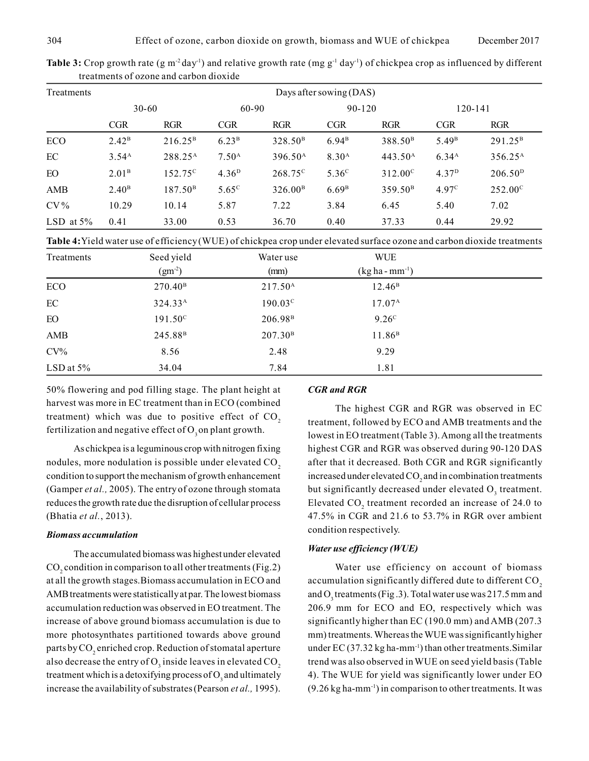| Treatments   | Days after sowing (DAS) |                     |                   |                     |                   |                     |                   |                     |  |
|--------------|-------------------------|---------------------|-------------------|---------------------|-------------------|---------------------|-------------------|---------------------|--|
|              | $30 - 60$               |                     |                   | 60-90               |                   | 90-120              |                   | 120-141             |  |
|              | <b>CGR</b>              | <b>RGR</b>          | <b>CGR</b>        | <b>RGR</b>          | <b>CGR</b>        | <b>RGR</b>          | <b>CGR</b>        | <b>RGR</b>          |  |
| ECO          | 2.42 <sup>B</sup>       | $216.25^{\rm B}$    | 6.23 <sup>B</sup> | 328.50 <sup>B</sup> | 6.94 <sup>B</sup> | 388.50 <sup>B</sup> | 5.49 <sup>B</sup> | $291.25^{\rm B}$    |  |
| EC           | 3.54 <sup>A</sup>       | 288.25 <sup>A</sup> | 7.50 <sup>A</sup> | 396.50 <sup>A</sup> | 8.30 <sup>A</sup> | 443.50 <sup>A</sup> | 6.34 <sup>A</sup> | 356.25 <sup>A</sup> |  |
| EO           | 2.01 <sup>B</sup>       | $152.75^{\circ}$    | 4.36 <sup>D</sup> | 268.75 <sup>c</sup> | 5.36 <sup>c</sup> | $312.00^{\circ}$    | 4.37 <sup>D</sup> | 206.50 <sup>D</sup> |  |
| AMB          | 2.40 <sup>B</sup>       | 187.50 <sup>B</sup> | $5.65^{\circ}$    | 326.00 <sup>B</sup> | 6.69 <sup>B</sup> | 359.50 <sup>B</sup> | 4.97 <sup>c</sup> | $252.00^{\circ}$    |  |
| $CV\%$       | 10.29                   | 10.14               | 5.87              | 7.22                | 3.84              | 6.45                | 5.40              | 7.02                |  |
| LSD at $5\%$ | 0.41                    | 33.00               | 0.53              | 36.70               | 0.40              | 37.33               | 0.44              | 29.92               |  |

Table 3: Crop growth rate (g m<sup>-2</sup> day<sup>-1</sup>) and relative growth rate (mg g<sup>-1</sup> day<sup>-1</sup>) of chickpea crop as influenced by different treatments of ozone and carbon dioxide

**Table 4:**Yield water use of efficiency (WUE) of chickpea crop under elevated surface ozone and carbon dioxide treatments

| Treatments   | Seed yield          | Water use           | <b>WUE</b>          |  |
|--------------|---------------------|---------------------|---------------------|--|
|              | $(gm^{-2})$         | (mm)                | $(kg ha - mm^{-1})$ |  |
| <b>ECO</b>   | $270.40^{\rm B}$    | 217.50 <sup>A</sup> | $12.46^{\rm B}$     |  |
| EC           | $324.33^{\rm A}$    | $190.03^{\circ}$    | $17.07^{\rm A}$     |  |
| EO           | $191.50^{\circ}$    | 206.98 <sup>B</sup> | 9.26 <sup>c</sup>   |  |
| AMB          | 245.88 <sup>B</sup> | 207.30 <sup>B</sup> | 11.86 <sup>B</sup>  |  |
| $CV\%$       | 8.56                | 2.48                | 9.29                |  |
| LSD at $5\%$ | 34.04               | 7.84                | 1.81                |  |

50% flowering and pod filling stage. The plant height at harvest was more in EC treatment than in ECO (combined treatment) which was due to positive effect of  $CO<sub>2</sub>$ fertilization and negative effect of  $O_2$  on plant growth.

As chickpea is a leguminous crop with nitrogen fixing nodules, more nodulation is possible under elevated CO<sub>2</sub> condition to support the mechanism of growth enhancement (Gamper *et al.,* 2005). The entry of ozone through stomata reduces the growth rate due the disruption of cellular process (Bhatia *et al.*, 2013).

#### *Biomass accumulation*

The accumulated biomass was highest under elevated  $\text{CO}_2$  condition in comparison to all other treatments (Fig.2) at all the growth stages.Biomass accumulation in ECO and AMB treatments were statistically at par. The lowest biomass accumulation reduction was observed in EO treatment. The increase of above ground biomass accumulation is due to more photosynthates partitioned towards above ground parts by CO<sub>2</sub> enriched crop. Reduction of stomatal aperture also decrease the entry of  $\mathrm{O}_3$  inside leaves in elevated  $\mathrm{CO}_2$ treatment which is a detoxifying process of  $O_3$  and ultimately increase the availability of substrates (Pearson *et al.,* 1995).

#### *CGR and RGR*

The highest CGR and RGR was observed in EC treatment, followed by ECO and AMB treatments and the lowest in EO treatment (Table 3). Among all the treatments highest CGR and RGR was observed during 90-120 DAS after that it decreased. Both CGR and RGR significantly increased under elevated  $\rm CO_2$  and in combination treatments but significantly decreased under elevated  $O_3$  treatment. Elevated  $CO_2$  treatment recorded an increase of 24.0 to 47.5% in CGR and 21.6 to 53.7% in RGR over ambient condition respectively.

#### *Water use efficiency (WUE)*

Water use efficiency on account of biomass accumulation significantly differed dute to different CO<sub>2</sub> and  $O_3$  treatments (Fig.3). Total water use was 217.5 mm and 206.9 mm for ECO and EO, respectively which was significantly higher than EC (190.0 mm) and AMB (207.3 mm) treatments. Whereas the WUE was significantly higher under  $EC$  (37.32 kg ha-mm<sup>-1</sup>) than other treatments. Similar trend was also observed in WUE on seed yield basis (Table 4). The WUE for yield was significantly lower under EO  $(9.26 \text{ kg ha-mm}^{-1})$  in comparison to other treatments. It was